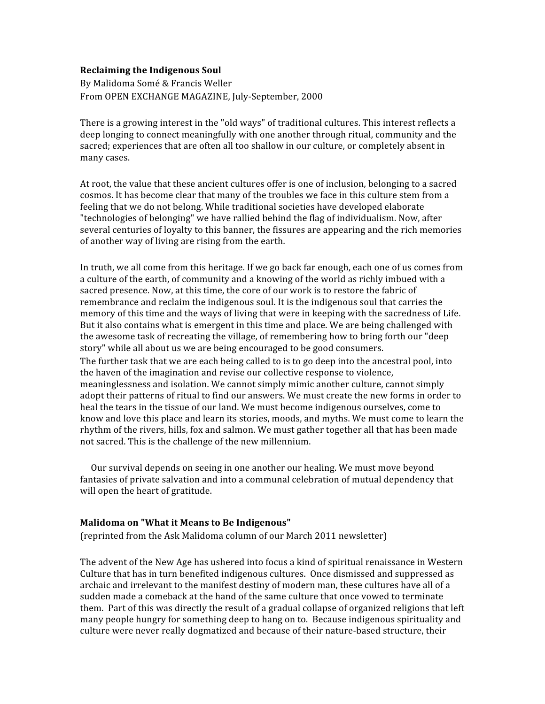## **Reclaiming
the
Indigenous
Soul**

By
Malidoma
Somé
&
Francis
Weller From
OPEN
EXCHANGE
MAGAZINE,
July‐September,
2000

There is a growing interest in the "old ways" of traditional cultures. This interest reflects a deep
longing
to
connect
meaningfully
with
one
another
through
ritual,
community
and
the sacred; experiences that are often all too shallow in our culture, or completely absent in many
cases.

At root, the value that these ancient cultures offer is one of inclusion, belonging to a sacred cosmos. It has become clear that many of the troubles we face in this culture stem from a feeling
that
we
do
not
belong.
While
traditional
societies
have
developed
elaborate "technologies of belonging" we have rallied behind the flag of individualism. Now, after several centuries of loyalty to this banner, the fissures are appearing and the rich memories of
another
way
of
living
are
rising
from
the
earth.

In truth, we all come from this heritage. If we go back far enough, each one of us comes from a culture of the earth, of community and a knowing of the world as richly imbued with a sacred presence. Now, at this time, the core of our work is to restore the fabric of remembrance and reclaim the indigenous soul. It is the indigenous soul that carries the memory of this time and the ways of living that were in keeping with the sacredness of Life. But it also contains what is emergent in this time and place. We are being challenged with the awesome task of recreating the village, of remembering how to bring forth our "deep" story"
while
all
about
us
we
are
being
encouraged
to
be
good
consumers.

The further task that we are each being called to is to go deep into the ancestral pool, into the
haven
of
the
imagination
and
revise
our
collective
response
to
violence, meaninglessness
and
isolation.
We
cannot
simply
mimic
another
culture,
cannot
simply adopt their patterns of ritual to find our answers. We must create the new forms in order to heal the tears in the tissue of our land. We must become indigenous ourselves, come to know and love this place and learn its stories, moods, and myths. We must come to learn the rhythm of the rivers, hills, fox and salmon. We must gather together all that has been made not
sacred.
This
is
the
challenge
of
the
new
millennium.

Our
survival
depends
on
seeing
in
one
another
our
healing.
We
must
move
beyond fantasies of private salvation and into a communal celebration of mutual dependency that will
open
the
heart
of
gratitude.

## **Malidoma
on
"What
it
Means
to
Be
Indigenous"**

(reprinted
from
the
Ask
Malidoma
column
of
our
March
2011
newsletter)

The advent of the New Age has ushered into focus a kind of spiritual renaissance in Western Culture that has in turn benefited indigenous cultures. Once dismissed and suppressed as archaic and irrelevant to the manifest destiny of modern man, these cultures have all of a sudden made a comeback at the hand of the same culture that once vowed to terminate them. Part of this was directly the result of a gradual collapse of organized religions that left many
people
hungry
for
something
deep
to
hang
on
to. Because
indigenous
spirituality
and culture were never really dogmatized and because of their nature-based structure, their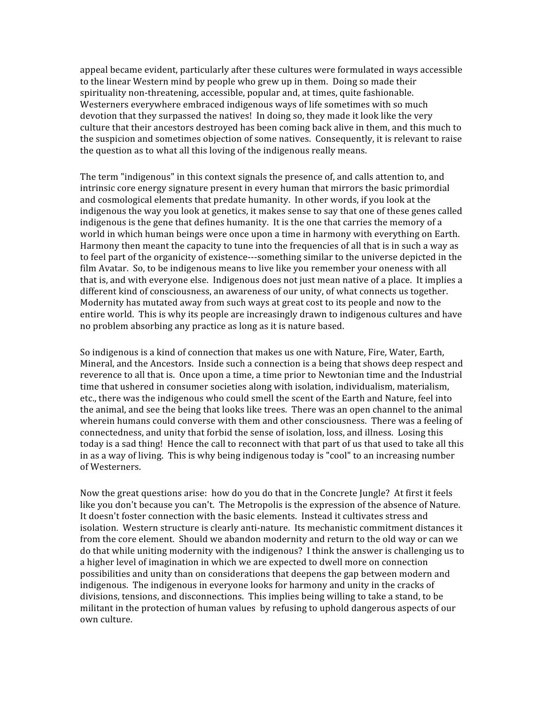appeal
became
evident,
particularly
after
these
cultures
were
formulated
in
ways
accessible to
the
linear
Western
mind
by
people
who
grew
up
in
them. Doing
so
made
their spirituality non-threatening, accessible, popular and, at times, quite fashionable. Westerners everywhere embraced indigenous ways of life sometimes with so much devotion that they surpassed the natives! In doing so, they made it look like the very culture that their ancestors destroyed has been coming back alive in them, and this much to the
suspicion
and
sometimes
objection
of
some
natives. Consequently,
it
is
relevant
to
raise the question as to what all this loving of the indigenous really means.

The term "indigenous" in this context signals the presence of, and calls attention to, and intrinsic
core
energy
signature
present
in
every
human
that
mirrors
the
basic
primordial and
cosmological
elements
that
predate
humanity. In
other
words,
if
you
look
at
the indigenous the way you look at genetics, it makes sense to say that one of these genes called indigenous is the gene that defines humanity. It is the one that carries the memory of a world in which human beings were once upon a time in harmony with everything on Earth. Harmony then meant the capacity to tune into the frequencies of all that is in such a way as to feel part of the organicity of existence—something similar to the universe depicted in the film Avatar. So, to be indigenous means to live like you remember your oneness with all that is, and with everyone else. Indigenous does not just mean native of a place. It implies a different kind of consciousness, an awareness of our unity, of what connects us together. Modernity has mutated away from such ways at great cost to its people and now to the entire world. This is why its people are increasingly drawn to indigenous cultures and have no
problem
absorbing
any
practice
as
long
as
it
is
nature
based.

So indigenous is a kind of connection that makes us one with Nature, Fire, Water, Earth, Mineral, and the Ancestors. Inside such a connection is a being that shows deep respect and reverence to all that is. Once upon a time, a time prior to Newtonian time and the Industrial time that ushered in consumer societies along with isolation, individualism, materialism, etc., there was the indigenous who could smell the scent of the Earth and Nature, feel into the animal, and see the being that looks like trees. There was an open channel to the animal wherein humans could converse with them and other consciousness. There was a feeling of connectedness,
and
unity
that
forbid
the
sense
of
isolation,
loss,
and
illness. Losing
this today is a sad thing! Hence the call to reconnect with that part of us that used to take all this in
as
a
way
of
living. This
is
why
being
indigenous
today
is
"cool"
to
an
increasing
number of
Westerners.

Now
the
great
questions
arise: how
do
you
do
that
in
the
Concrete
Jungle? At
first
it
feels like you don't because you can't. The Metropolis is the expression of the absence of Nature. It
doesn't
foster
connection
with
the
basic
elements. Instead
it
cultivates
stress
and isolation. Western structure is clearly anti-nature. Its mechanistic commitment distances it from the core element. Should we abandon modernity and return to the old way or can we do that while uniting modernity with the indigenous? I think the answer is challenging us to a higher level of imagination in which we are expected to dwell more on connection possibilities
and
unity
than
on
considerations
that
deepens
the
gap
between
modern
and indigenous. The indigenous in everyone looks for harmony and unity in the cracks of divisions, tensions, and disconnections. This implies being willing to take a stand, to be militant
in
the
protection
of
human
values by
refusing
to
uphold
dangerous
aspects
of
our own
culture.